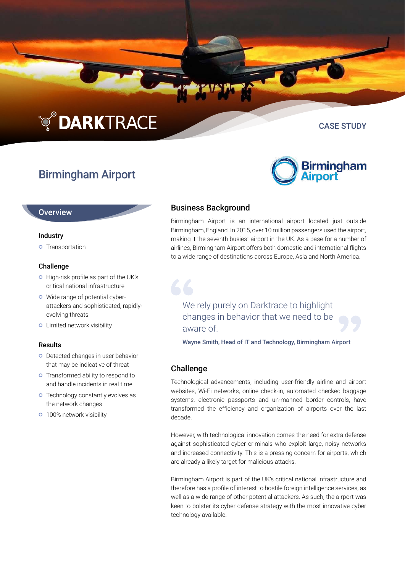# **TO DARKTRACE**

# Birmingham Airport

#### **Overview**

#### Industry

**o** Transportation

#### Challenge

- o High-risk profile as part of the UK's critical national infrastructure
- Wide range of potential cyberattackers and sophisticated, rapidlyevolving threats
- **o** Limited network visibility

#### Results

- o Detected changes in user behavior that may be indicative of threat
- **o** Transformed ability to respond to and handle incidents in real time
- **o** Technology constantly evolves as the network changes
- **o** 100% network visibility

## Business Background

Birmingham Airport is an international airport located just outside Birmingham, England. In 2015, over 10 million passengers used the airport, making it the seventh busiest airport in the UK. As a base for a number of airlines, Birmingham Airport offers both domestic and international flights to a wide range of destinations across Europe, Asia and North America.

We rely purely on Darktrace to highlight changes in behavior that we need to be aware of.

Wayne Smith, Head of IT and Technology, Birmingham Airport

#### **Challenge**

Technological advancements, including user-friendly airline and airport websites, Wi-Fi networks, online check-in, automated checked baggage systems, electronic passports and un-manned border controls, have transformed the efficiency and organization of airports over the last decade.

However, with technological innovation comes the need for extra defense against sophisticated cyber criminals who exploit large, noisy networks and increased connectivity. This is a pressing concern for airports, which are already a likely target for malicious attacks.

Birmingham Airport is part of the UK's critical national infrastructure and therefore has a profile of interest to hostile foreign intelligence services, as well as a wide range of other potential attackers. As such, the airport was keen to bolster its cyber defense strategy with the most innovative cyber technology available.



CASE STUDY